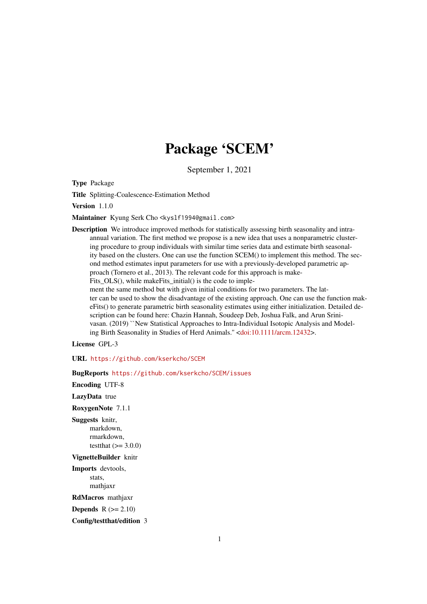## Package 'SCEM'

September 1, 2021

Type Package

Title Splitting-Coalescence-Estimation Method

Version 1.1.0

Maintainer Kyung Serk Cho <kyslf1994@gmail.com>

Description We introduce improved methods for statistically assessing birth seasonality and intraannual variation. The first method we propose is a new idea that uses a nonparametric clustering procedure to group individuals with similar time series data and estimate birth seasonality based on the clusters. One can use the function SCEM() to implement this method. The second method estimates input parameters for use with a previously-developed parametric approach (Tornero et al., 2013). The relevant code for this approach is make-

Fits\_OLS(), while makeFits\_initial() is the code to imple-

ment the same method but with given initial conditions for two parameters. The latter can be used to show the disadvantage of the existing approach. One can use the function makeFits() to generate parametric birth seasonality estimates using either initialization. Detailed description can be found here: Chazin Hannah, Soudeep Deb, Joshua Falk, and Arun Srinivasan. (2019) ``New Statistical Approaches to Intra-Individual Isotopic Analysis and Modeling Birth Seasonality in Studies of Herd Animals.'' [<doi:10.1111/arcm.12432>](https://doi.org/10.1111/arcm.12432).

License GPL-3

URL <https://github.com/kserkcho/SCEM>

BugReports <https://github.com/kserkcho/SCEM/issues>

Encoding UTF-8

LazyData true

RoxygenNote 7.1.1

Suggests knitr, markdown, rmarkdown, testthat  $(>= 3.0.0)$ 

#### VignetteBuilder knitr

Imports devtools, stats,

mathjaxr

RdMacros mathjaxr

**Depends**  $R (=2.10)$ 

Config/testthat/edition 3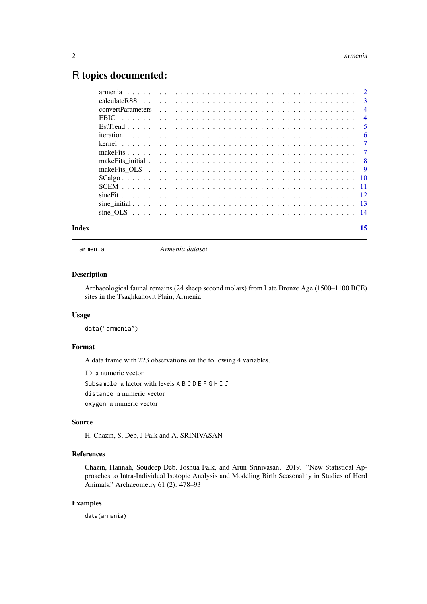### <span id="page-1-0"></span>R topics documented:

| Index | 15 |
|-------|----|
|       |    |
|       |    |
|       |    |
|       |    |
|       |    |
|       |    |
|       |    |
|       |    |
|       |    |
|       |    |
|       |    |
|       |    |
|       |    |
|       |    |
|       |    |

armenia *Armenia dataset*

#### Description

Archaeological faunal remains (24 sheep second molars) from Late Bronze Age (1500–1100 BCE) sites in the Tsaghkahovit Plain, Armenia

#### Usage

data("armenia")

#### Format

A data frame with 223 observations on the following 4 variables.

ID a numeric vector Subsample a factor with levels A B C D E F G H I J distance a numeric vector oxygen a numeric vector

#### Source

H. Chazin, S. Deb, J Falk and A. SRINIVASAN

#### References

Chazin, Hannah, Soudeep Deb, Joshua Falk, and Arun Srinivasan. 2019. "New Statistical Approaches to Intra-Individual Isotopic Analysis and Modeling Birth Seasonality in Studies of Herd Animals." Archaeometry 61 (2): 478–93

#### Examples

data(armenia)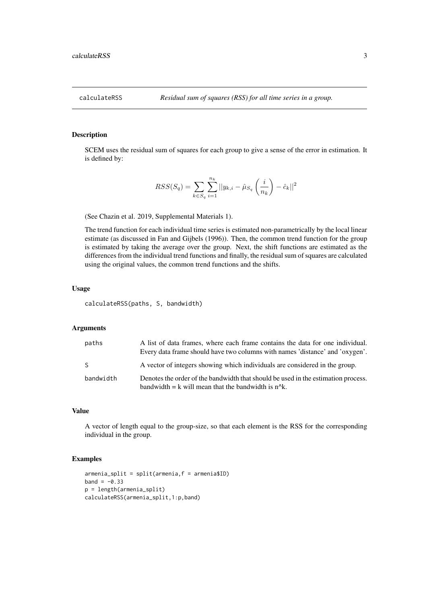<span id="page-2-0"></span>

#### Description

SCEM uses the residual sum of squares for each group to give a sense of the error in estimation. It is defined by:

$$
RSS(S_q) = \sum_{k \in S_q} \sum_{i=1}^{n_k} ||y_{k,i} - \hat{\mu}_{S_q} \left(\frac{i}{n_k}\right) - \hat{c}_k||^2
$$

(See Chazin et al. 2019, Supplemental Materials 1).

The trend function for each individual time series is estimated non-parametrically by the local linear estimate (as discussed in Fan and Gijbels (1996)). Then, the common trend function for the group is estimated by taking the average over the group. Next, the shift functions are estimated as the differences from the individual trend functions and finally, the residual sum of squares are calculated using the original values, the common trend functions and the shifts.

#### Usage

calculateRSS(paths, S, bandwidth)

#### Arguments

| paths     | A list of data frames, where each frame contains the data for one individual.<br>Every data frame should have two columns with names 'distance' and 'oxygen'. |
|-----------|---------------------------------------------------------------------------------------------------------------------------------------------------------------|
| -S        | A vector of integers showing which individuals are considered in the group.                                                                                   |
| bandwidth | Denotes the order of the bandwidth that should be used in the estimation process.<br>bandwidth $= k$ will mean that the bandwidth is $n^k$ .                  |

#### Value

A vector of length equal to the group-size, so that each element is the RSS for the corresponding individual in the group.

#### Examples

```
armenia_split = split(armenia,f = armenia$ID)
band = -0.33p = length(armenia_split)
calculateRSS(armenia_split,1:p,band)
```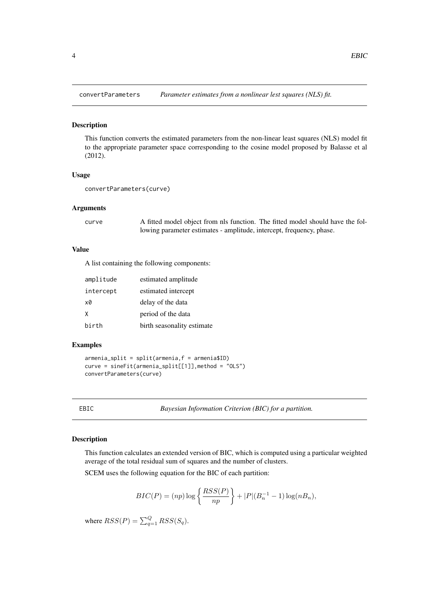<span id="page-3-0"></span>

#### Description

This function converts the estimated parameters from the non-linear least squares (NLS) model fit to the appropriate parameter space corresponding to the cosine model proposed by Balasse et al (2012).

#### Usage

convertParameters(curve)

#### Arguments

curve A fitted model object from nls function. The fitted model should have the following parameter estimates - amplitude, intercept, frequency, phase.

#### Value

A list containing the following components:

| amplitude | estimated amplitude        |
|-----------|----------------------------|
| intercept | estimated intercept        |
| x0        | delay of the data          |
| X         | period of the data         |
| birth     | birth seasonality estimate |

#### Examples

```
armenia_split = split(armenia,f = armenia$ID)curve = sineFit(armenia_split[[1]],method = "OLS")
convertParameters(curve)
```
EBIC *Bayesian Information Criterion (BIC) for a partition.*

#### Description

This function calculates an extended version of BIC, which is computed using a particular weighted average of the total residual sum of squares and the number of clusters.

SCEM uses the following equation for the BIC of each partition:

$$
BIC(P) = (np) \log \left\{ \frac{RSS(P)}{np} \right\} + |P|(B_n^{-1} - 1) \log(nB_n),
$$

where  $RSS(P) = \sum_{q=1}^{Q} RSS(S_q)$ .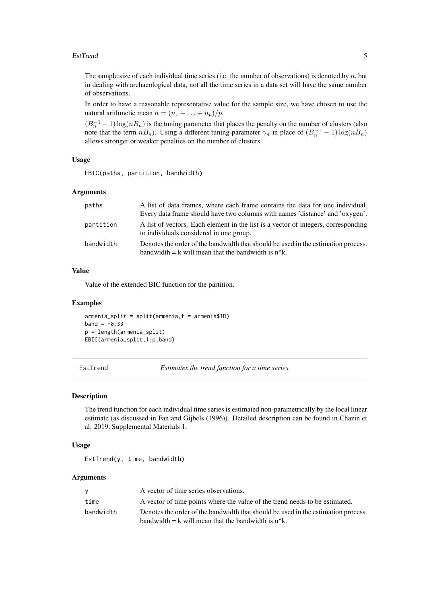#### <span id="page-4-0"></span>EstTrend 5

The sample size of each individual time series (i.e. the number of observations) is denoted by  $n$ , but in dealing with archaeological data, not all the time series in a data set will have the same number of observations.

In order to have a reasonable representative value for the sample size, we have chosen to use the natural arithmetic mean  $n = (n_1 + \ldots + n_p)/p$ .

 $(B_n^{-1} - 1) \log(nB_n)$  is the tuning parameter that places the penalty on the number of clusters (also note that the term  $nB_n$ ). Using a different tuning parameter  $\gamma_n$  in place of  $(B_n^{-1} - 1) \log(nB_n)$ allows stronger or weaker penalties on the number of clusters.

#### Usage

EBIC(paths, partition, bandwidth)

#### Arguments

| paths     | A list of data frames, where each frame contains the data for one individual.                                                                |
|-----------|----------------------------------------------------------------------------------------------------------------------------------------------|
|           | Every data frame should have two columns with names 'distance' and 'oxygen'.                                                                 |
| partition | A list of vectors. Each element in the list is a vector of integers, corresponding<br>to individuals considered in one group.                |
| bandwidth | Denotes the order of the bandwidth that should be used in the estimation process.<br>bandwidth $= k$ will mean that the bandwidth is $n^k$ . |

#### Value

Value of the extended BIC function for the partition.

#### Examples

```
armenia_split = split(armenia,f = armenia$ID)
band = -0.33p = length(armenia_split)
EBIC(armenia_split,1:p,band)
```
EstTrend *Estimates the trend function for a time series.*

#### Description

The trend function for each individual time series is estimated non-parametrically by the local linear estimate (as discussed in Fan and Gijbels (1996)). Detailed description can be found in Chazin et al. 2019, Supplemental Materials 1.

#### Usage

EstTrend(y, time, bandwidth)

#### Arguments

|           | A vector of time series observations.                                                |
|-----------|--------------------------------------------------------------------------------------|
| time      | A vector of time points where the value of the trend needs to be estimated.          |
| bandwidth | Denotes the order of the bandwidth that should be used in the estimation process.    |
|           | bandwidth $= k$ will mean that the bandwidth is n <sup><math>\Lambda</math></sup> k. |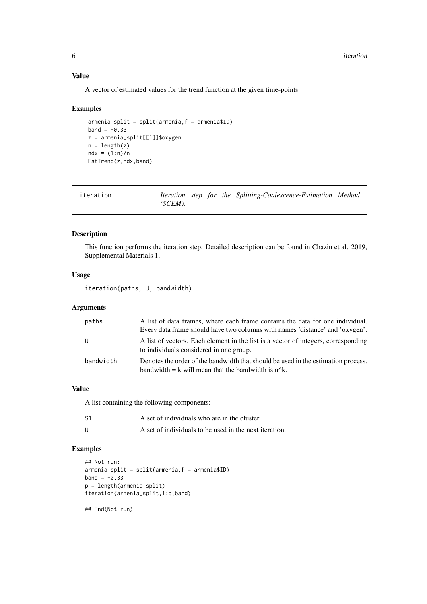#### Value

A vector of estimated values for the trend function at the given time-points.

#### Examples

```
armenia_split = split(armenia,f = armenia$ID)
band = -0.33z = armenia_split[[1]]$oxygen
n = length(z)ndx = (1:n)/nEstTrend(z,ndx,band)
```

| iteration |         |  | Iteration step for the Splitting-Coalescence-Estimation Method |  |
|-----------|---------|--|----------------------------------------------------------------|--|
|           | (SCEM). |  |                                                                |  |

#### Description

This function performs the iteration step. Detailed description can be found in Chazin et al. 2019, Supplemental Materials 1.

#### Usage

iteration(paths, U, bandwidth)

#### Arguments

| paths     | A list of data frames, where each frame contains the data for one individual.<br>Every data frame should have two columns with names 'distance' and 'oxygen'. |
|-----------|---------------------------------------------------------------------------------------------------------------------------------------------------------------|
|           | A list of vectors. Each element in the list is a vector of integers, corresponding<br>to individuals considered in one group.                                 |
| bandwidth | Denotes the order of the bandwidth that should be used in the estimation process.<br>bandwidth $= k$ will mean that the bandwidth is $n^k$ .                  |

#### Value

A list containing the following components:

| S1 | A set of individuals who are in the cluster            |
|----|--------------------------------------------------------|
|    | A set of individuals to be used in the next iteration. |

#### Examples

```
## Not run:
armenia_split = split(armenia,f = armenia$ID)
band = -0.33p = length(armenia_split)
iteration(armenia_split,1:p,band)
## End(Not run)
```
<span id="page-5-0"></span>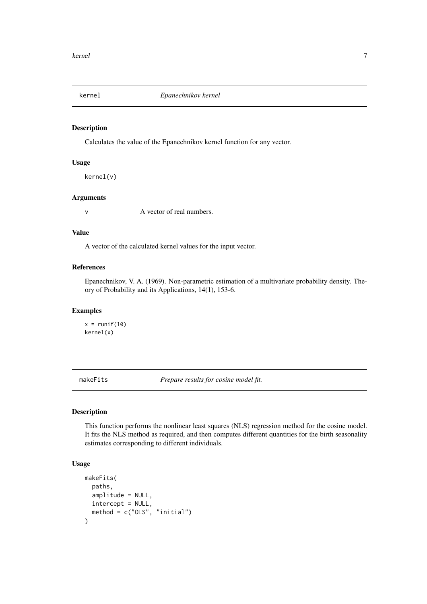<span id="page-6-0"></span>

#### Description

Calculates the value of the Epanechnikov kernel function for any vector.

#### Usage

kernel(v)

#### Arguments

v A vector of real numbers.

#### Value

A vector of the calculated kernel values for the input vector.

#### References

Epanechnikov, V. A. (1969). Non-parametric estimation of a multivariate probability density. Theory of Probability and its Applications, 14(1), 153-6.

#### Examples

 $x = runif(10)$ kernel(x)

makeFits *Prepare results for cosine model fit.*

#### Description

This function performs the nonlinear least squares (NLS) regression method for the cosine model. It fits the NLS method as required, and then computes different quantities for the birth seasonality estimates corresponding to different individuals.

#### Usage

```
makeFits(
  paths,
  amplitude = NULL,
  intercept = NULL,
  method = c("OLS", "initial")
)
```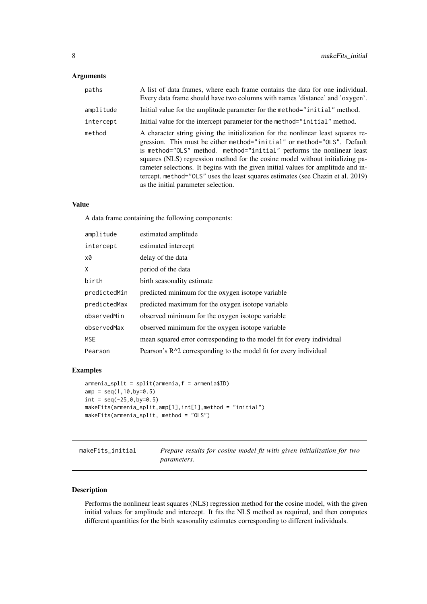#### <span id="page-7-0"></span>Arguments

| paths     | A list of data frames, where each frame contains the data for one individual.<br>Every data frame should have two columns with names 'distance' and 'oxygen'.                                                                                                                                                                                                                                                                                                                                                                        |
|-----------|--------------------------------------------------------------------------------------------------------------------------------------------------------------------------------------------------------------------------------------------------------------------------------------------------------------------------------------------------------------------------------------------------------------------------------------------------------------------------------------------------------------------------------------|
| amplitude | Initial value for the amplitude parameter for the method="initial" method.                                                                                                                                                                                                                                                                                                                                                                                                                                                           |
| intercept | Initial value for the intercept parameter for the method="initial" method.                                                                                                                                                                                                                                                                                                                                                                                                                                                           |
| method    | A character string giving the initialization for the nonlinear least squares re-<br>gression. This must be either method="initial" or method="0LS". Default<br>is method="0LS" method. method="initial" performs the nonlinear least<br>squares (NLS) regression method for the cosine model without initializing pa-<br>rameter selections. It begins with the given initial values for amplitude and in-<br>tercept. method="0LS" uses the least squares estimates (see Chazin et al. 2019)<br>as the initial parameter selection. |

#### Value

A data frame containing the following components:

| amplitude    | estimated amplitude                                                    |
|--------------|------------------------------------------------------------------------|
| intercept    | estimated intercept                                                    |
| x0           | delay of the data                                                      |
| X            | period of the data                                                     |
| birth        | birth seasonality estimate                                             |
| predictedMin | predicted minimum for the oxygen isotope variable                      |
| predictedMax | predicted maximum for the oxygen isotope variable                      |
| observedMin  | observed minimum for the oxygen isotope variable                       |
| observedMax  | observed minimum for the oxygen isotope variable                       |
| <b>MSE</b>   | mean squared error corresponding to the model fit for every individual |
| Pearson      | Pearson's $R^2$ corresponding to the model fit for every individual    |

#### Examples

```
armenia_split = split(armenia,f = armenia$ID)
amp = seq(1, 10, by=0.5)int = seq(-25, 0, by=0.5)makeFits(armenia_split,amp[1],int[1],method = "initial")
makeFits(armenia_split, method = "OLS")
```
makeFits\_initial *Prepare results for cosine model fit with given initialization for two parameters.*

#### Description

Performs the nonlinear least squares (NLS) regression method for the cosine model, with the given initial values for amplitude and intercept. It fits the NLS method as required, and then computes different quantities for the birth seasonality estimates corresponding to different individuals.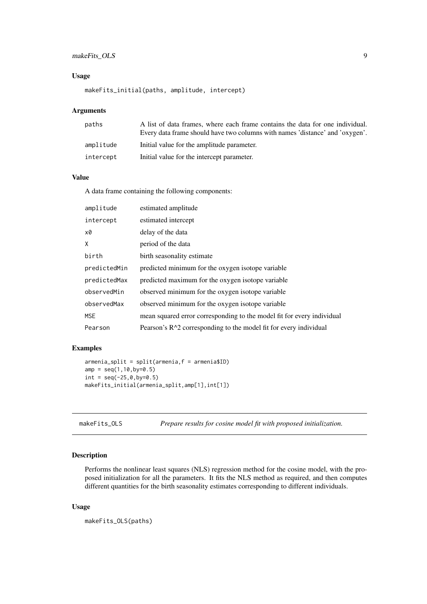#### <span id="page-8-0"></span>makeFits\_OLS 9

#### Usage

makeFits\_initial(paths, amplitude, intercept)

#### Arguments

| paths     | A list of data frames, where each frame contains the data for one individual. |
|-----------|-------------------------------------------------------------------------------|
|           | Every data frame should have two columns with names 'distance' and 'oxygen'.  |
| amplitude | Initial value for the amplitude parameter.                                    |
| intercept | Initial value for the intercept parameter.                                    |

#### Value

A data frame containing the following components:

| amplitude    | estimated amplitude                                                    |
|--------------|------------------------------------------------------------------------|
| intercept    | estimated intercept                                                    |
| x0           | delay of the data                                                      |
| X            | period of the data                                                     |
| birth        | birth seasonality estimate                                             |
| predictedMin | predicted minimum for the oxygen isotope variable                      |
| predictedMax | predicted maximum for the oxygen isotope variable                      |
| observedMin  | observed minimum for the oxygen isotope variable                       |
| observedMax  | observed minimum for the oxygen isotope variable                       |
| <b>MSE</b>   | mean squared error corresponding to the model fit for every individual |
| Pearson      | Pearson's $R^2$ corresponding to the model fit for every individual    |

#### Examples

```
armenia_split = split(armenia,f = armenia$ID)
amp = seq(1, 10, by=0.5)int = seq(-25, 0, by=0.5)makeFits_initial(armenia_split,amp[1],int[1])
```
makeFits\_OLS *Prepare results for cosine model fit with proposed initialization.*

#### Description

Performs the nonlinear least squares (NLS) regression method for the cosine model, with the proposed initialization for all the parameters. It fits the NLS method as required, and then computes different quantities for the birth seasonality estimates corresponding to different individuals.

#### Usage

makeFits\_OLS(paths)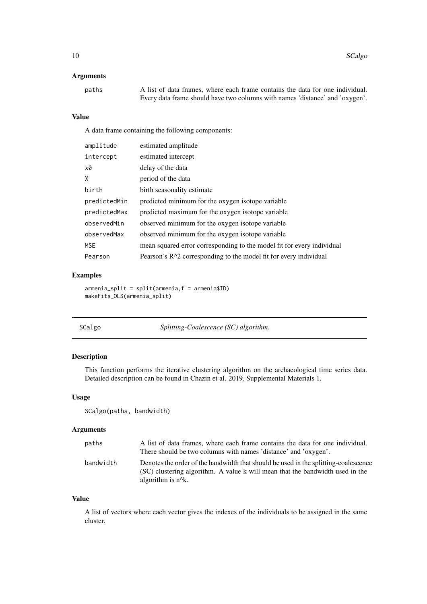#### <span id="page-9-0"></span>Arguments

| paths | A list of data frames, where each frame contains the data for one individual. |
|-------|-------------------------------------------------------------------------------|
|       | Every data frame should have two columns with names 'distance' and 'oxygen'.  |

#### Value

A data frame containing the following components:

| amplitude    | estimated amplitude                                                    |
|--------------|------------------------------------------------------------------------|
| intercept    | estimated intercept                                                    |
| x0           | delay of the data                                                      |
| X            | period of the data                                                     |
| birth        | birth seasonality estimate                                             |
| predictedMin | predicted minimum for the oxygen isotope variable                      |
| predictedMax | predicted maximum for the oxygen isotope variable                      |
| observedMin  | observed minimum for the oxygen isotope variable                       |
| observedMax  | observed minimum for the oxygen isotope variable                       |
| <b>MSE</b>   | mean squared error corresponding to the model fit for every individual |
| Pearson      | Pearson's $R^2$ corresponding to the model fit for every individual    |

#### Examples

```
armenia_split = split(armenia,f = armenia$ID)
makeFits_OLS(armenia_split)
```

| SCalgo | Splitting-Coalescence (SC) algorithm. |
|--------|---------------------------------------|
|        |                                       |

#### Description

This function performs the iterative clustering algorithm on the archaeological time series data. Detailed description can be found in Chazin et al. 2019, Supplemental Materials 1.

#### Usage

SCalgo(paths, bandwidth)

#### Arguments

| paths     | A list of data frames, where each frame contains the data for one individual.                                                                                        |
|-----------|----------------------------------------------------------------------------------------------------------------------------------------------------------------------|
|           | There should be two columns with names 'distance' and 'oxygen'.                                                                                                      |
| bandwidth | Denotes the order of the bandwidth that should be used in the splitting-coalescence<br>(SC) clustering algorithm. A value k will mean that the bandwidth used in the |
|           | algorithm is $n^k$ .                                                                                                                                                 |

#### Value

A list of vectors where each vector gives the indexes of the individuals to be assigned in the same cluster.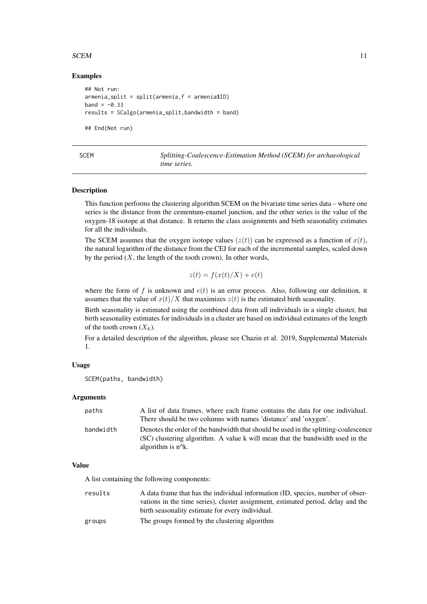#### <span id="page-10-0"></span> $SCEM$  11

#### Examples

```
## Not run:
armenia_split = split(armenia,f = armenia$ID)
band = -0.33results = SCalgo(armenia_split,bandwidth = band)
## End(Not run)
```

| SCEM | Splitting-Coalescence-Estimation Method (SCEM) for archaeological |
|------|-------------------------------------------------------------------|
|      | time series.                                                      |

#### Description

This function performs the clustering algorithm SCEM on the bivariate time series data – where one series is the distance from the cementum-enamel junction, and the other series is the value of the oxygen-18 isotope at that distance. It returns the class assignments and birth seasonality estimates for all the individuals.

The SCEM assumes that the oxygen isotope values  $(z(t))$  can be expressed as a function of  $x(t)$ , the natural logarithm of the distance from the CEJ for each of the incremental samples, scaled down by the period  $(X,$  the length of the tooth crown). In other words,

$$
z(t) = f(x(t)/X) + e(t)
$$

where the form of f is unknown and  $e(t)$  is an error process. Also, following our definition, it assumes that the value of  $x(t)/X$  that maximizes  $z(t)$  is the estimated birth seasonality.

Birth seasonality is estimated using the combined data from all individuals in a single cluster, but birth seasonality estimates for individuals in a cluster are based on individual estimates of the length of the tooth crown  $(X_k)$ .

For a detailed description of the algorithm, please see Chazin et al. 2019, Supplemental Materials 1.

#### Usage

```
SCEM(paths, bandwidth)
```
#### Arguments

| paths     | A list of data frames, where each frame contains the data for one individual.                                                                                                                |
|-----------|----------------------------------------------------------------------------------------------------------------------------------------------------------------------------------------------|
|           | There should be two columns with names 'distance' and 'oxygen'.                                                                                                                              |
| bandwidth | Denotes the order of the bandwidth that should be used in the splitting-coalescence<br>(SC) clustering algorithm. A value k will mean that the bandwidth used in the<br>algorithm is $n^k$ . |

#### Value

A list containing the following components:

| results | A data frame that has the individual information (ID, species, number of obser-  |
|---------|----------------------------------------------------------------------------------|
|         | vations in the time series), cluster assignment, estimated period, delay and the |
|         | birth seasonality estimate for every individual.                                 |
| groups  | The groups formed by the clustering algorithm                                    |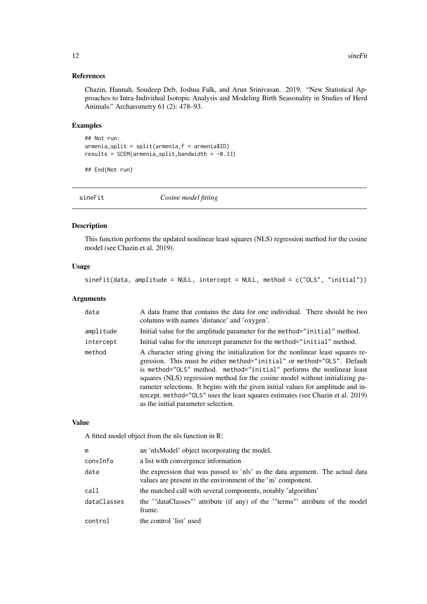#### References

Chazin, Hannah, Soudeep Deb, Joshua Falk, and Arun Srinivasan. 2019. "New Statistical Approaches to Intra-Individual Isotopic Analysis and Modeling Birth Seasonality in Studies of Herd Animals." Archaeometry 61 (2): 478–93.

#### Examples

```
## Not run:
armenia_split = split(armenia,f = armenia$ID)
results = SCEM(armenia_split, bandwidth = -0.33)
```
## End(Not run)

sineFit *Cosine model fitting*

#### Description

This function performs the updated nonlinear least squares (NLS) regression method for the cosine model (see Chazin et al. 2019).

#### Usage

sineFit(data, amplitude = NULL, intercept = NULL, method = c("OLS", "initial"))

#### Arguments

| data      | A data frame that contains the data for one individual. There should be two<br>columns with names 'distance' and 'oxygen'.                                                                                                                                                                                                                                                                                                                                                                                                           |  |
|-----------|--------------------------------------------------------------------------------------------------------------------------------------------------------------------------------------------------------------------------------------------------------------------------------------------------------------------------------------------------------------------------------------------------------------------------------------------------------------------------------------------------------------------------------------|--|
| amplitude | Initial value for the amplitude parameter for the method="initial" method.                                                                                                                                                                                                                                                                                                                                                                                                                                                           |  |
| intercept | Initial value for the intercept parameter for the method="initial" method.                                                                                                                                                                                                                                                                                                                                                                                                                                                           |  |
| method    | A character string giving the initialization for the nonlinear least squares re-<br>gression. This must be either method="initial" or method="0LS". Default<br>is method="OLS" method. method="initial" performs the nonlinear least<br>squares (NLS) regression method for the cosine model without initializing pa-<br>rameter selections. It begins with the given initial values for amplitude and in-<br>tercept. method="0LS" uses the least squares estimates (see Chazin et al. 2019)<br>as the initial parameter selection. |  |

#### Value

A fitted model object from the nls function in R:

| m           | an 'nlsModel' object incorporating the model.                                                                                                |
|-------------|----------------------------------------------------------------------------------------------------------------------------------------------|
| convInfo    | a list with convergence information                                                                                                          |
| data        | the expression that was passed to 'nls' as the data argument. The actual data<br>values are present in the environment of the 'm' component. |
| call        | the matched call with several components, notably 'algorithm'                                                                                |
| dataClasses | the "dataClasses" attribute (if any) of the "terms" attribute of the model<br>frame.                                                         |
| control     | the control 'list' used                                                                                                                      |
|             |                                                                                                                                              |

<span id="page-11-0"></span>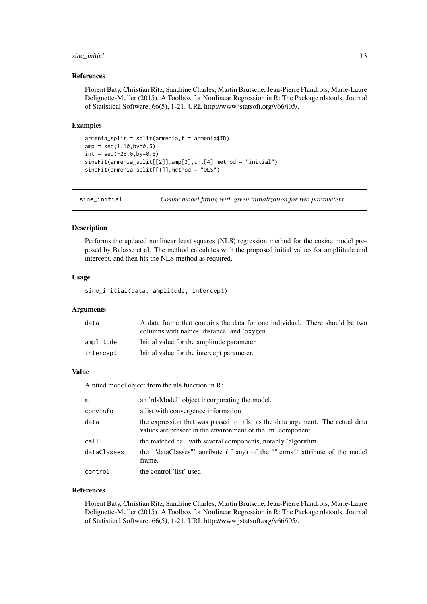#### <span id="page-12-0"></span>sine\_initial 13

#### References

Florent Baty, Christian Ritz, Sandrine Charles, Martin Brutsche, Jean-Pierre Flandrois, Marie-Laure Delignette-Muller (2015). A Toolbox for Nonlinear Regression in R: The Package nlstools. Journal of Statistical Software, 66(5), 1-21. URL http://www.jstatsoft.org/v66/i05/.

#### Examples

```
armenia_split = split(armenia,f = armenia$ID)
amp = seq(1, 10, by=0.5)int = seq(-25, 0, by=0.5)sineFit(armenia_split[[2]],amp[3],int[4],method = "initial")
sineFit(armenia_split[[1]],method = "OLS")
```
sine\_initial *Cosine model fitting with given initialization for two parameters.*

#### Description

Performs the updated nonlinear least squares (NLS) regression method for the cosine model proposed by Balasse et al. The method calculates with the proposed initial values for ampliitude and intercept, and then fits the NLS method as required.

#### Usage

sine\_initial(data, amplitude, intercept)

#### Arguments

| data      | A data frame that contains the data for one individual. There should be two |  |
|-----------|-----------------------------------------------------------------------------|--|
|           | columns with names 'distance' and 'oxygen'.                                 |  |
| amplitude | Initial value for the amplitude parameter.                                  |  |
| intercept | Initial value for the intercept parameter.                                  |  |

#### Value

A fitted model object from the nls function in R:

| m           | an 'nlsModel' object incorporating the model.                                                                                                |
|-------------|----------------------------------------------------------------------------------------------------------------------------------------------|
| convInfo    | a list with convergence information                                                                                                          |
| data        | the expression that was passed to 'nls' as the data argument. The actual data<br>values are present in the environment of the 'm' component. |
| call        | the matched call with several components, notably 'algorithm'                                                                                |
| dataClasses | the "dataClasses" attribute (if any) of the "terms" attribute of the model<br>frame.                                                         |
| control     | the control 'list' used                                                                                                                      |

#### References

Florent Baty, Christian Ritz, Sandrine Charles, Martin Brutsche, Jean-Pierre Flandrois, Marie-Laure Delignette-Muller (2015). A Toolbox for Nonlinear Regression in R: The Package nlstools. Journal of Statistical Software, 66(5), 1-21. URL http://www.jstatsoft.org/v66/i05/.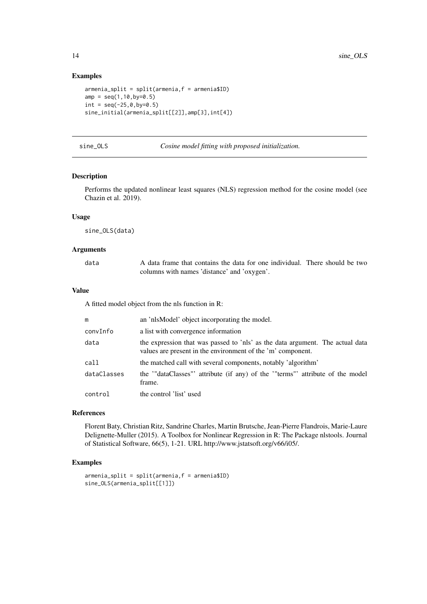#### Examples

```
armenia_split = split(armenia,f = armenia$ID)
amp = seq(1, 10, by=0.5)int = seq(-25, 0, by=0.5)sine_initial(armenia_split[[2]],amp[3],int[4])
```

| Cosine model fitting with proposed initialization.<br>sine OLS |  |
|----------------------------------------------------------------|--|
|----------------------------------------------------------------|--|

#### Description

Performs the updated nonlinear least squares (NLS) regression method for the cosine model (see Chazin et al. 2019).

#### Usage

sine\_OLS(data)

#### Arguments

data A data frame that contains the data for one individual. There should be two columns with names 'distance' and 'oxygen'.

#### Value

A fitted model object from the nls function in R:

| m           | an 'nlsModel' object incorporating the model.                                                                                                |
|-------------|----------------------------------------------------------------------------------------------------------------------------------------------|
| convInfo    | a list with convergence information                                                                                                          |
| data        | the expression that was passed to 'nls' as the data argument. The actual data<br>values are present in the environment of the 'm' component. |
| call        | the matched call with several components, notably 'algorithm'                                                                                |
| dataClasses | the "dataClasses" attribute (if any) of the "terms" attribute of the model<br>frame.                                                         |
| control     | the control 'list' used                                                                                                                      |

#### References

Florent Baty, Christian Ritz, Sandrine Charles, Martin Brutsche, Jean-Pierre Flandrois, Marie-Laure Delignette-Muller (2015). A Toolbox for Nonlinear Regression in R: The Package nlstools. Journal of Statistical Software, 66(5), 1-21. URL http://www.jstatsoft.org/v66/i05/.

#### Examples

```
armenia_split = split(armenia, f = armenia$ID)sine_OLS(armenia_split[[1]])
```
<span id="page-13-0"></span>